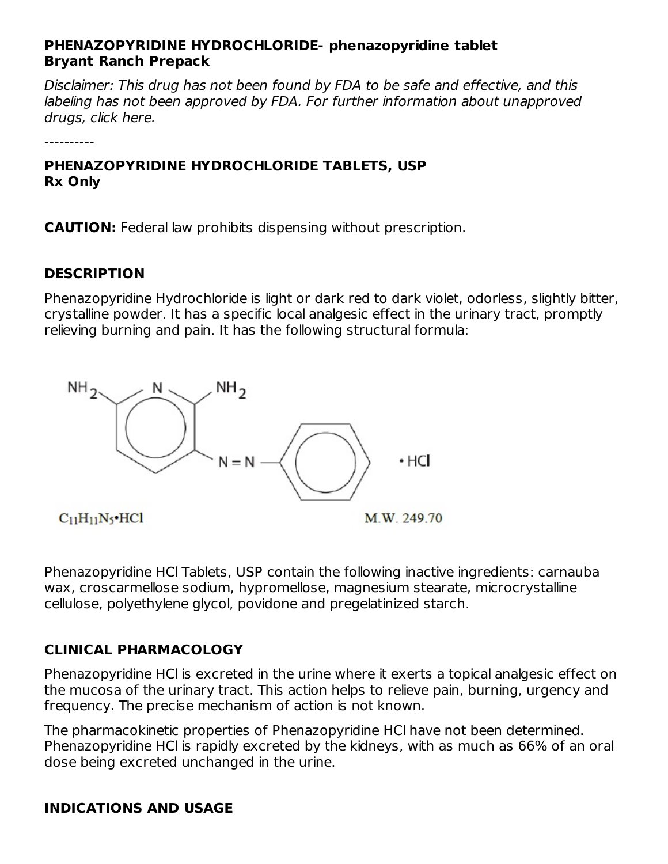#### **PHENAZOPYRIDINE HYDROCHLORIDE- phenazopyridine tablet Bryant Ranch Prepack**

Disclaimer: This drug has not been found by FDA to be safe and effective, and this labeling has not been approved by FDA. For further information about unapproved drugs, click here.

**PHENAZOPYRIDINE HYDROCHLORIDE TABLETS, USP Rx Only**

**CAUTION:** Federal law prohibits dispensing without prescription.

#### **DESCRIPTION**

----------

Phenazopyridine Hydrochloride is light or dark red to dark violet, odorless, slightly bitter, crystalline powder. It has a specific local analgesic effect in the urinary tract, promptly relieving burning and pain. It has the following structural formula:



 $C_{11}H_{11}N_5$ ·HCl

Phenazopyridine HCl Tablets, USP contain the following inactive ingredients: carnauba wax, croscarmellose sodium, hypromellose, magnesium stearate, microcrystalline cellulose, polyethylene glycol, povidone and pregelatinized starch.

## **CLINICAL PHARMACOLOGY**

Phenazopyridine HCl is excreted in the urine where it exerts a topical analgesic effect on the mucosa of the urinary tract. This action helps to relieve pain, burning, urgency and frequency. The precise mechanism of action is not known.

The pharmacokinetic properties of Phenazopyridine HCl have not been determined. Phenazopyridine HCl is rapidly excreted by the kidneys, with as much as 66% of an oral dose being excreted unchanged in the urine.

## **INDICATIONS AND USAGE**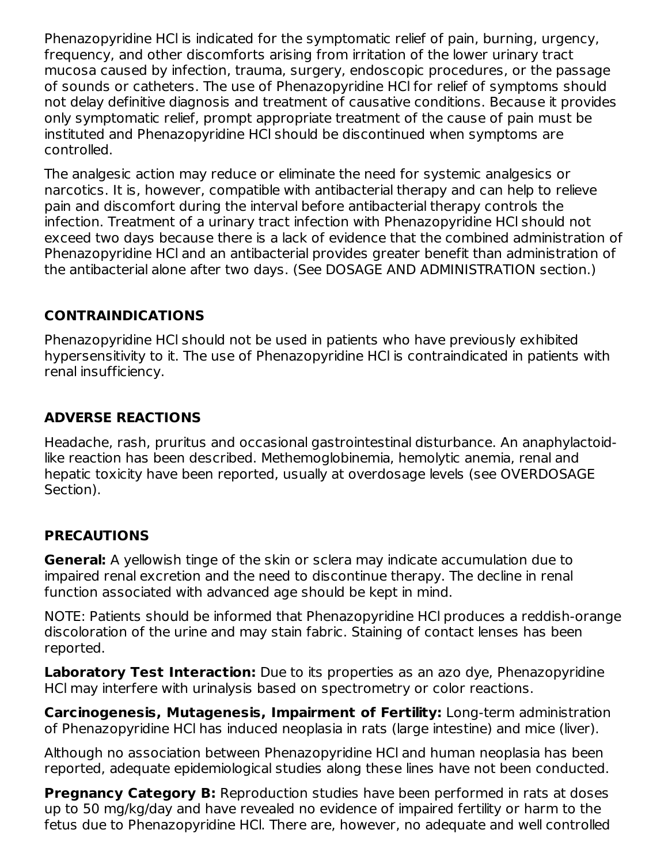Phenazopyridine HCl is indicated for the symptomatic relief of pain, burning, urgency, frequency, and other discomforts arising from irritation of the lower urinary tract mucosa caused by infection, trauma, surgery, endoscopic procedures, or the passage of sounds or catheters. The use of Phenazopyridine HCl for relief of symptoms should not delay definitive diagnosis and treatment of causative conditions. Because it provides only symptomatic relief, prompt appropriate treatment of the cause of pain must be instituted and Phenazopyridine HCl should be discontinued when symptoms are controlled.

The analgesic action may reduce or eliminate the need for systemic analgesics or narcotics. It is, however, compatible with antibacterial therapy and can help to relieve pain and discomfort during the interval before antibacterial therapy controls the infection. Treatment of a urinary tract infection with Phenazopyridine HCl should not exceed two days because there is a lack of evidence that the combined administration of Phenazopyridine HCl and an antibacterial provides greater benefit than administration of the antibacterial alone after two days. (See DOSAGE AND ADMINISTRATION section.)

## **CONTRAINDICATIONS**

Phenazopyridine HCl should not be used in patients who have previously exhibited hypersensitivity to it. The use of Phenazopyridine HCl is contraindicated in patients with renal insufficiency.

## **ADVERSE REACTIONS**

Headache, rash, pruritus and occasional gastrointestinal disturbance. An anaphylactoidlike reaction has been described. Methemoglobinemia, hemolytic anemia, renal and hepatic toxicity have been reported, usually at overdosage levels (see OVERDOSAGE Section).

## **PRECAUTIONS**

**General:** A yellowish tinge of the skin or sclera may indicate accumulation due to impaired renal excretion and the need to discontinue therapy. The decline in renal function associated with advanced age should be kept in mind.

NOTE: Patients should be informed that Phenazopyridine HCl produces a reddish-orange discoloration of the urine and may stain fabric. Staining of contact lenses has been reported.

**Laboratory Test Interaction:** Due to its properties as an azo dye, Phenazopyridine HCl may interfere with urinalysis based on spectrometry or color reactions.

**Carcinogenesis, Mutagenesis, Impairment of Fertility:** Long-term administration of Phenazopyridine HCl has induced neoplasia in rats (large intestine) and mice (liver).

Although no association between Phenazopyridine HCl and human neoplasia has been reported, adequate epidemiological studies along these lines have not been conducted.

**Pregnancy Category B:** Reproduction studies have been performed in rats at doses up to 50 mg/kg/day and have revealed no evidence of impaired fertility or harm to the fetus due to Phenazopyridine HCl. There are, however, no adequate and well controlled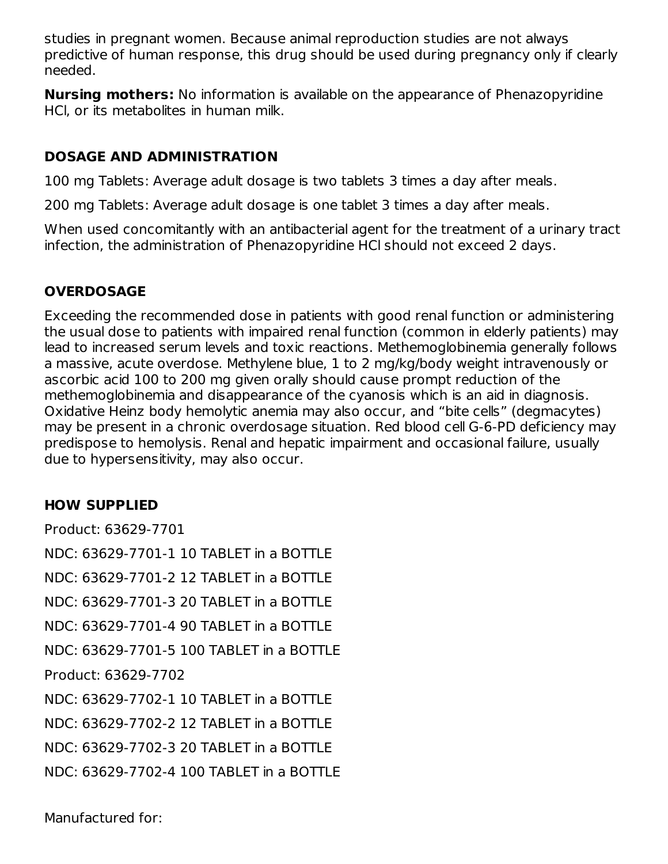studies in pregnant women. Because animal reproduction studies are not always predictive of human response, this drug should be used during pregnancy only if clearly needed.

**Nursing mothers:** No information is available on the appearance of Phenazopyridine HCl, or its metabolites in human milk.

#### **DOSAGE AND ADMINISTRATION**

100 mg Tablets: Average adult dosage is two tablets 3 times a day after meals.

200 mg Tablets: Average adult dosage is one tablet 3 times a day after meals.

When used concomitantly with an antibacterial agent for the treatment of a urinary tract infection, the administration of Phenazopyridine HCl should not exceed 2 days.

## **OVERDOSAGE**

Exceeding the recommended dose in patients with good renal function or administering the usual dose to patients with impaired renal function (common in elderly patients) may lead to increased serum levels and toxic reactions. Methemoglobinemia generally follows a massive, acute overdose. Methylene blue, 1 to 2 mg/kg/body weight intravenously or ascorbic acid 100 to 200 mg given orally should cause prompt reduction of the methemoglobinemia and disappearance of the cyanosis which is an aid in diagnosis. Oxidative Heinz body hemolytic anemia may also occur, and "bite cells" (degmacytes) may be present in a chronic overdosage situation. Red blood cell G-6-PD deficiency may predispose to hemolysis. Renal and hepatic impairment and occasional failure, usually due to hypersensitivity, may also occur.

## **HOW SUPPLIED**

Product: 63629-7701 NDC: 63629-7701-1 10 TABLET in a BOTTLE NDC: 63629-7701-2 12 TABLET in a BOTTLE NDC: 63629-7701-3 20 TABLET in a BOTTLE NDC: 63629-7701-4 90 TABLET in a BOTTLE NDC: 63629-7701-5 100 TABLET in a BOTTLE Product: 63629-7702 NDC: 63629-7702-1 10 TABLET in a BOTTLE NDC: 63629-7702-2 12 TABLET in a BOTTLE NDC: 63629-7702-3 20 TABLET in a BOTTLE NDC: 63629-7702-4 100 TABLET in a BOTTLE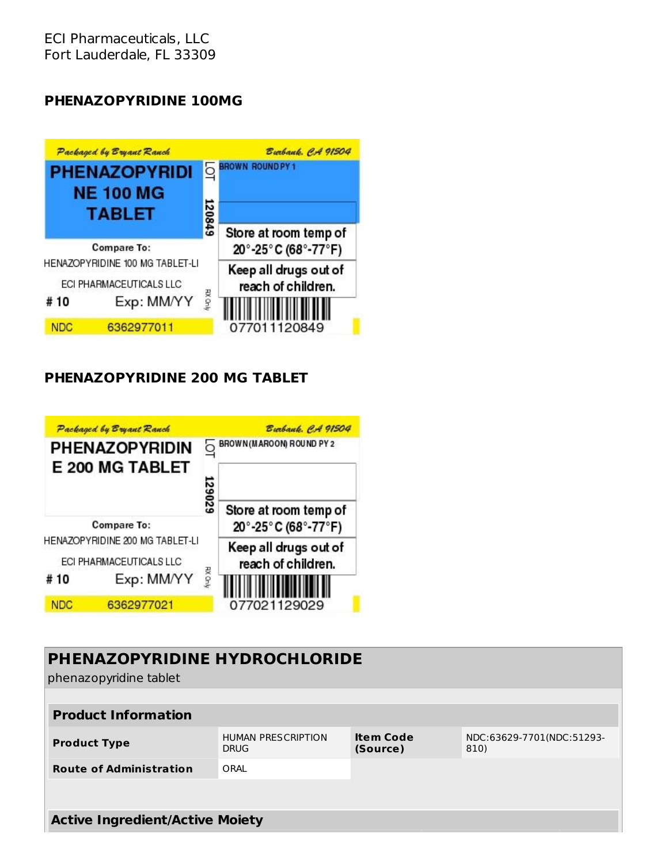ECI Pharmaceuticals, LLC Fort Lauderdale, FL 33309

#### **PHENAZOPYRIDINE 100MG**



#### **PHENAZOPYRIDINE 200 MG TABLET**



| <b>PHENAZOPYRIDINE HYDROCHLORIDE</b><br>phenazopyridine tablet |                                          |                              |                                   |  |  |
|----------------------------------------------------------------|------------------------------------------|------------------------------|-----------------------------------|--|--|
| <b>Product Information</b>                                     |                                          |                              |                                   |  |  |
| <b>Product Type</b>                                            | <b>HUMAN PRESCRIPTION</b><br><b>DRUG</b> | <b>Item Code</b><br>(Source) | NDC:63629-7701(NDC:51293-<br>810) |  |  |
| <b>Route of Administration</b>                                 | ORAL                                     |                              |                                   |  |  |
|                                                                |                                          |                              |                                   |  |  |
| <b>Active Ingredient/Active Moiety</b>                         |                                          |                              |                                   |  |  |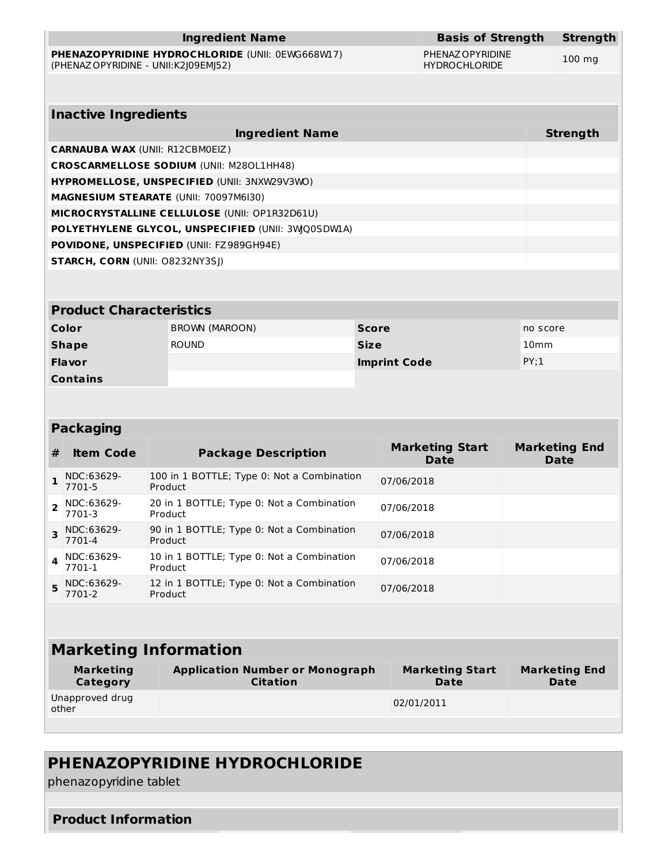| <b>Ingredient Name</b>                                                                           | <b>Basis of Strength</b>                 | <b>Strength</b>  |
|--------------------------------------------------------------------------------------------------|------------------------------------------|------------------|
| <b>PHENAZOPYRIDINE HYDROCHLORIDE (UNII: 0EWG668W17)</b><br>(PHENAZ OPYRIDINE - UNII: K2J09EMJ52) | PHENAZ OPYRIDINE<br><b>HYDROCHLORIDE</b> | $100 \text{ mg}$ |
|                                                                                                  |                                          |                  |
| <b>Inactive Ingredients</b>                                                                      |                                          |                  |
| Ingredient Name                                                                                  |                                          | <b>Strength</b>  |
| <b>CARNAUBA WAX (UNII: R12CBM0EIZ)</b>                                                           |                                          |                  |
| <b>CROSCARMELLOSE SODIUM (UNII: M280L1HH48)</b>                                                  |                                          |                  |
| HYPROMELLOSE, UNSPECIFIED (UNII: 3NXW29V3WO)                                                     |                                          |                  |
| <b>MAGNESIUM STEARATE (UNII: 70097M6I30)</b>                                                     |                                          |                  |
| <b>MICROCRYSTALLINE CELLULOSE (UNII: OP1R32D61U)</b>                                             |                                          |                  |
| POLYETHYLENE GLYCOL, UNSPECIFIED (UNII: 3WQ0SDWLA)                                               |                                          |                  |
| <b>POVIDONE, UNSPECIFIED (UNII: FZ989GH94E)</b>                                                  |                                          |                  |
| <b>STARCH, CORN (UNII: 08232NY3SI)</b>                                                           |                                          |                  |
|                                                                                                  |                                          |                  |

#### **Product Characteristics**

| Color           | BROWN (MAROON) | <b>Score</b>        | no score         |
|-----------------|----------------|---------------------|------------------|
| <b>Shape</b>    | <b>ROUND</b>   | <b>Size</b>         | 10 <sub>mm</sub> |
| <b>Flavor</b>   |                | <b>Imprint Code</b> | PY;1             |
| <b>Contains</b> |                |                     |                  |

#### **Packaging**

| # | <b>Item Code</b>         | <b>Package Description</b>                            | <b>Marketing Start</b><br>Date | <b>Marketing End</b><br><b>Date</b> |  |  |
|---|--------------------------|-------------------------------------------------------|--------------------------------|-------------------------------------|--|--|
|   | NDC:63629-<br>7701-5     | 100 in 1 BOTTLE; Type 0: Not a Combination<br>Product | 07/06/2018                     |                                     |  |  |
|   | NDC:63629-<br>7701-3     | 20 in 1 BOTTLE; Type 0: Not a Combination<br>Product  | 07/06/2018                     |                                     |  |  |
|   | NDC:63629-<br>7701-4     | 90 in 1 BOTTLE; Type 0: Not a Combination<br>Product  | 07/06/2018                     |                                     |  |  |
|   | NDC:63629-<br>7701-1     | 10 in 1 BOTTLE; Type 0: Not a Combination<br>Product  | 07/06/2018                     |                                     |  |  |
|   | $5$ NDC:63629-<br>7701-2 | 12 in 1 BOTTLE; Type 0: Not a Combination<br>Product  | 07/06/2018                     |                                     |  |  |

# **Marketing Information**

| Marketing                | <b>Application Number or Monograph</b> | <b>Marketing Start</b> | <b>Marketing End</b> |
|--------------------------|----------------------------------------|------------------------|----------------------|
| Category                 | <b>Citation</b>                        | Date                   | Date                 |
| Unapproved drug<br>other |                                        | 02/01/2011             |                      |

## **PHENAZOPYRIDINE HYDROCHLORIDE**

phenazopyridine tablet

#### **Product Information**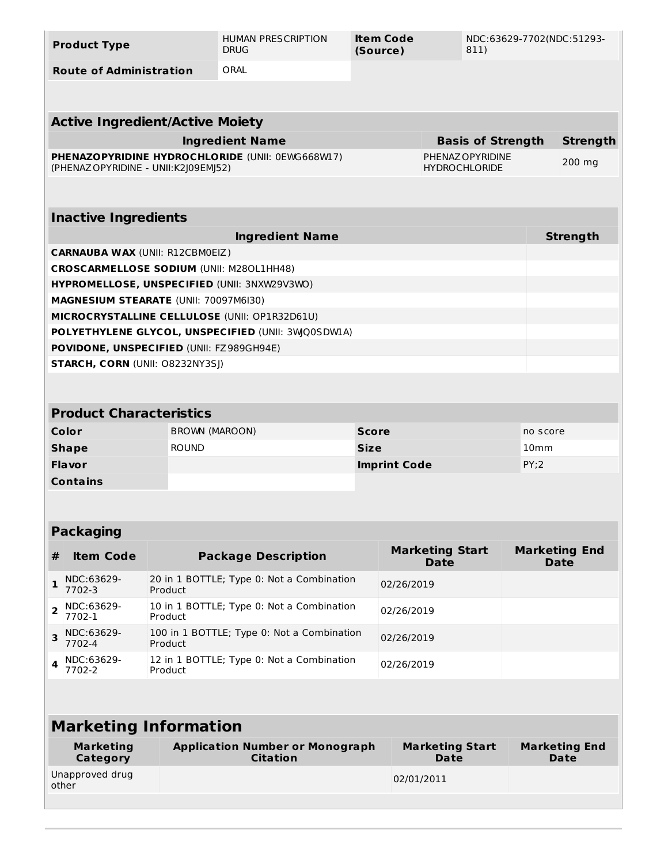| <b>Product Type</b>                             |                                                                    | <b>HUMAN PRESCRIPTION</b><br><b>DRUG</b>                                                            | Item Code<br>NDC:63629-7702(NDC:51293-<br>(Source)<br>811) |                                |                                              |                  |                                     |  |
|-------------------------------------------------|--------------------------------------------------------------------|-----------------------------------------------------------------------------------------------------|------------------------------------------------------------|--------------------------------|----------------------------------------------|------------------|-------------------------------------|--|
| <b>Route of Administration</b>                  |                                                                    | ORAL                                                                                                |                                                            |                                |                                              |                  |                                     |  |
|                                                 |                                                                    |                                                                                                     |                                                            |                                |                                              |                  |                                     |  |
|                                                 | <b>Active Ingredient/Active Moiety</b>                             |                                                                                                     |                                                            |                                |                                              |                  |                                     |  |
|                                                 |                                                                    |                                                                                                     |                                                            |                                |                                              |                  |                                     |  |
|                                                 |                                                                    | <b>Ingredient Name</b><br>PHENAZOPYRIDINE HYDROCHLORIDE (UNII: 0EWG668W17)                          |                                                            |                                | <b>Basis of Strength</b><br>PHENAZ OPYRIDINE | <b>Strength</b>  |                                     |  |
| (PHENAZ OPYRIDINE - UNII: K2J09EMJ52)           |                                                                    |                                                                                                     |                                                            |                                | <b>HYDROCHLORIDE</b>                         |                  | 200 mg                              |  |
|                                                 |                                                                    |                                                                                                     |                                                            |                                |                                              |                  |                                     |  |
| <b>Inactive Ingredients</b>                     |                                                                    |                                                                                                     |                                                            |                                |                                              |                  |                                     |  |
|                                                 |                                                                    | <b>Ingredient Name</b>                                                                              |                                                            |                                |                                              |                  | <b>Strength</b>                     |  |
| <b>CARNAUBA WAX (UNII: R12CBM0EIZ)</b>          |                                                                    |                                                                                                     |                                                            |                                |                                              |                  |                                     |  |
| <b>CROSCARMELLOSE SODIUM (UNII: M280L1HH48)</b> |                                                                    |                                                                                                     |                                                            |                                |                                              |                  |                                     |  |
|                                                 |                                                                    | HYPROMELLOSE, UNSPECIFIED (UNII: 3NXW29V3WO)                                                        |                                                            |                                |                                              |                  |                                     |  |
| MAGNESIUM STEARATE (UNII: 70097M6I30)           |                                                                    |                                                                                                     |                                                            |                                |                                              |                  |                                     |  |
|                                                 |                                                                    | MICROCRYSTALLINE CELLULOSE (UNII: OP1R32D61U)<br>POLYETHYLENE GLYCOL, UNSPECIFIED (UNII: 3WQ0SDWLA) |                                                            |                                |                                              |                  |                                     |  |
| POVIDONE, UNSPECIFIED (UNII: FZ989GH94E)        |                                                                    |                                                                                                     |                                                            |                                |                                              |                  |                                     |  |
| STARCH, CORN (UNII: O8232NY3SJ)                 |                                                                    |                                                                                                     |                                                            |                                |                                              |                  |                                     |  |
|                                                 |                                                                    |                                                                                                     |                                                            |                                |                                              |                  |                                     |  |
|                                                 |                                                                    |                                                                                                     |                                                            |                                |                                              |                  |                                     |  |
| <b>Product Characteristics</b>                  |                                                                    |                                                                                                     |                                                            |                                |                                              |                  |                                     |  |
| Color                                           | BROWN (MAROON)                                                     |                                                                                                     | <b>Score</b>                                               |                                |                                              |                  | no score                            |  |
| <b>Shape</b>                                    | <b>ROUND</b>                                                       |                                                                                                     | <b>Size</b>                                                |                                |                                              | 10 <sub>mm</sub> |                                     |  |
| <b>Flavor</b>                                   | <b>Imprint Code</b>                                                |                                                                                                     |                                                            | PY;2                           |                                              |                  |                                     |  |
| <b>Contains</b>                                 |                                                                    |                                                                                                     |                                                            |                                |                                              |                  |                                     |  |
|                                                 |                                                                    |                                                                                                     |                                                            |                                |                                              |                  |                                     |  |
| <b>Packaging</b>                                |                                                                    |                                                                                                     |                                                            |                                |                                              |                  |                                     |  |
| <b>Item Code</b><br>#                           |                                                                    | <b>Package Description</b>                                                                          |                                                            | <b>Marketing Start</b>         |                                              |                  | <b>Marketing End</b>                |  |
|                                                 |                                                                    |                                                                                                     |                                                            | <b>Date</b>                    |                                              |                  | <b>Date</b>                         |  |
| NDC:63629-<br>1<br>7702-3                       | Product                                                            | 20 in 1 BOTTLE; Type 0: Not a Combination                                                           |                                                            | 02/26/2019                     |                                              |                  |                                     |  |
| NDC:63629-<br>$\overline{2}$<br>7702-1          | Product                                                            | 10 in 1 BOTTLE; Type 0: Not a Combination<br>02/26/2019                                             |                                                            |                                |                                              |                  |                                     |  |
| NDC:63629-<br>3<br>7702-4                       | Product                                                            | 100 in 1 BOTTLE; Type 0: Not a Combination<br>02/26/2019                                            |                                                            |                                |                                              |                  |                                     |  |
| NDC:63629-<br>4<br>7702-2                       | 12 in 1 BOTTLE; Type 0: Not a Combination<br>02/26/2019<br>Product |                                                                                                     |                                                            |                                |                                              |                  |                                     |  |
|                                                 |                                                                    |                                                                                                     |                                                            |                                |                                              |                  |                                     |  |
| <b>Marketing Information</b>                    |                                                                    |                                                                                                     |                                                            |                                |                                              |                  |                                     |  |
| <b>Marketing</b><br>Category                    |                                                                    | <b>Application Number or Monograph</b><br><b>Citation</b>                                           |                                                            | <b>Marketing Start</b><br>Date |                                              |                  | <b>Marketing End</b><br><b>Date</b> |  |
| Unapproved drug<br>other                        |                                                                    |                                                                                                     |                                                            | 02/01/2011                     |                                              |                  |                                     |  |
|                                                 |                                                                    |                                                                                                     |                                                            |                                |                                              |                  |                                     |  |